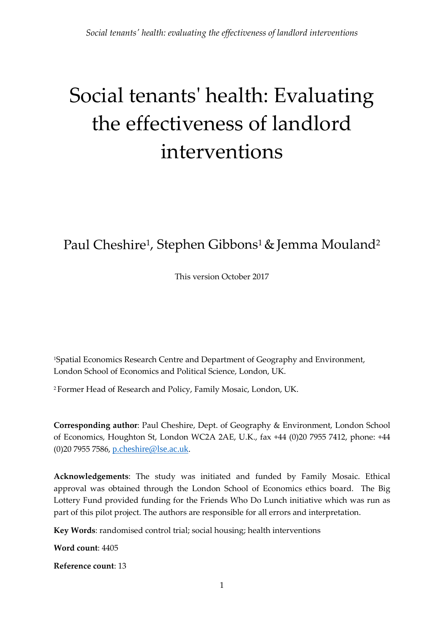# Social tenants' health: Evaluating the effectiveness of landlord interventions

# Paul Cheshire<sup>1</sup>, Stephen Gibbons<sup>1</sup> & Jemma Mouland<sup>2</sup>

This version October 2017

1Spatial Economics Research Centre and Department of Geography and Environment, London School of Economics and Political Science, London, UK.

<sup>2</sup> Former Head of Research and Policy, Family Mosaic, London, UK.

**Corresponding author**: Paul Cheshire, Dept. of Geography & Environment, London School of Economics, Houghton St, London WC2A 2AE, U.K., fax +44 (0)20 7955 7412, phone: +44 (0)20 7955 7586, [p.cheshire@lse.ac.uk](mailto:p.cheshire@lse.ac.uk).

**Acknowledgements**: The study was initiated and funded by Family Mosaic. Ethical approval was obtained through the London School of Economics ethics board. The Big Lottery Fund provided funding for the Friends Who Do Lunch initiative which was run as part of this pilot project. The authors are responsible for all errors and interpretation.

**Key Words**: randomised control trial; social housing; health interventions

**Word count**: 4405

**Reference count**: 13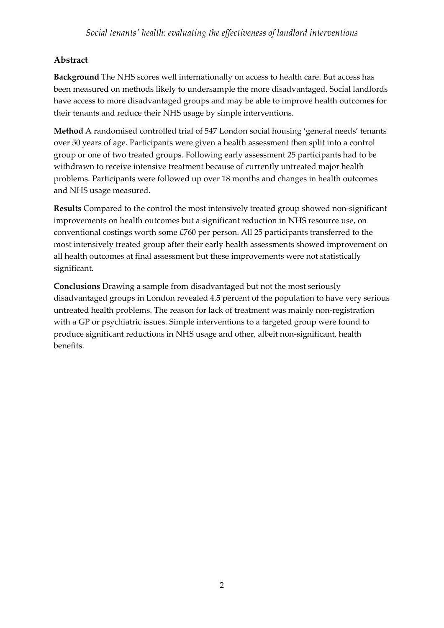# **Abstract**

**Background** The NHS scores well internationally on access to health care. But access has been measured on methods likely to undersample the more disadvantaged. Social landlords have access to more disadvantaged groups and may be able to improve health outcomes for their tenants and reduce their NHS usage by simple interventions.

**Method** A randomised controlled trial of 547 London social housing 'general needs' tenants over 50 years of age. Participants were given a health assessment then split into a control group or one of two treated groups. Following early assessment 25 participants had to be withdrawn to receive intensive treatment because of currently untreated major health problems. Participants were followed up over 18 months and changes in health outcomes and NHS usage measured.

**Results** Compared to the control the most intensively treated group showed non-significant improvements on health outcomes but a significant reduction in NHS resource use, on conventional costings worth some £760 per person. All 25 participants transferred to the most intensively treated group after their early health assessments showed improvement on all health outcomes at final assessment but these improvements were not statistically significant.

**Conclusions** Drawing a sample from disadvantaged but not the most seriously disadvantaged groups in London revealed 4.5 percent of the population to have very serious untreated health problems. The reason for lack of treatment was mainly non-registration with a GP or psychiatric issues. Simple interventions to a targeted group were found to produce significant reductions in NHS usage and other, albeit non-significant, health benefits.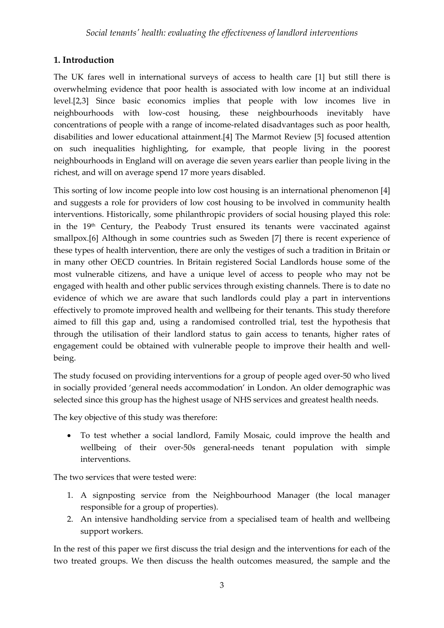# **1. Introduction**

The UK fares well in international surveys of access to health care [1] but still there is overwhelming evidence that poor health is associated with low income at an individual level.[2,3] Since basic economics implies that people with low incomes live in neighbourhoods with low-cost housing, these neighbourhoods inevitably have concentrations of people with a range of income-related disadvantages such as poor health, disabilities and lower educational attainment.[4] The Marmot Review [5] focused attention on such inequalities highlighting, for example, that people living in the poorest neighbourhoods in England will on average die seven years earlier than people living in the richest, and will on average spend 17 more years disabled.

This sorting of low income people into low cost housing is an international phenomenon [4] and suggests a role for providers of low cost housing to be involved in community health interventions. Historically, some philanthropic providers of social housing played this role: in the 19th Century, the Peabody Trust ensured its tenants were vaccinated against smallpox.[6] Although in some countries such as Sweden [7] there is recent experience of these types of health intervention, there are only the vestiges of such a tradition in Britain or in many other OECD countries. In Britain registered Social Landlords house some of the most vulnerable citizens, and have a unique level of access to people who may not be engaged with health and other public services through existing channels. There is to date no evidence of which we are aware that such landlords could play a part in interventions effectively to promote improved health and wellbeing for their tenants. This study therefore aimed to fill this gap and, using a randomised controlled trial, test the hypothesis that through the utilisation of their landlord status to gain access to tenants, higher rates of engagement could be obtained with vulnerable people to improve their health and wellbeing.

The study focused on providing interventions for a group of people aged over-50 who lived in socially provided 'general needs accommodation' in London. An older demographic was selected since this group has the highest usage of NHS services and greatest health needs.

The key objective of this study was therefore:

• To test whether a social landlord, Family Mosaic, could improve the health and wellbeing of their over-50s general-needs tenant population with simple interventions.

The two services that were tested were:

- 1. A signposting service from the Neighbourhood Manager (the local manager responsible for a group of properties).
- 2. An intensive handholding service from a specialised team of health and wellbeing support workers.

In the rest of this paper we first discuss the trial design and the interventions for each of the two treated groups. We then discuss the health outcomes measured, the sample and the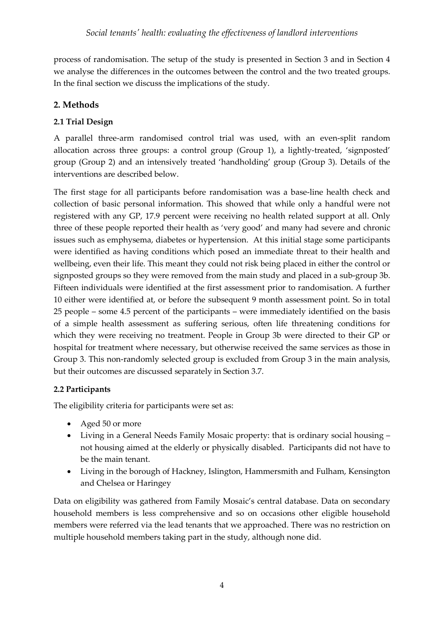process of randomisation. The setup of the study is presented in Section 3 and in Section 4 we analyse the differences in the outcomes between the control and the two treated groups. In the final section we discuss the implications of the study.

# **2. Methods**

# **2.1 Trial Design**

A parallel three-arm randomised control trial was used, with an even-split random allocation across three groups: a control group (Group 1), a lightly-treated, 'signposted' group (Group 2) and an intensively treated 'handholding' group (Group 3). Details of the interventions are described below.

The first stage for all participants before randomisation was a base-line health check and collection of basic personal information. This showed that while only a handful were not registered with any GP, 17.9 percent were receiving no health related support at all. Only three of these people reported their health as 'very good' and many had severe and chronic issues such as emphysema, diabetes or hypertension. At this initial stage some participants were identified as having conditions which posed an immediate threat to their health and wellbeing, even their life. This meant they could not risk being placed in either the control or signposted groups so they were removed from the main study and placed in a sub-group 3b. Fifteen individuals were identified at the first assessment prior to randomisation. A further 10 either were identified at, or before the subsequent 9 month assessment point. So in total 25 people – some 4.5 percent of the participants – were immediately identified on the basis of a simple health assessment as suffering serious, often life threatening conditions for which they were receiving no treatment. People in Group 3b were directed to their GP or hospital for treatment where necessary, but otherwise received the same services as those in Group 3. This non-randomly selected group is excluded from Group 3 in the main analysis, but their outcomes are discussed separately in Section 3.7.

## **2.2 Participants**

The eligibility criteria for participants were set as:

- Aged 50 or more
- Living in a General Needs Family Mosaic property: that is ordinary social housing not housing aimed at the elderly or physically disabled. Participants did not have to be the main tenant.
- Living in the borough of Hackney, Islington, Hammersmith and Fulham, Kensington and Chelsea or Haringey

Data on eligibility was gathered from Family Mosaic's central database. Data on secondary household members is less comprehensive and so on occasions other eligible household members were referred via the lead tenants that we approached. There was no restriction on multiple household members taking part in the study, although none did.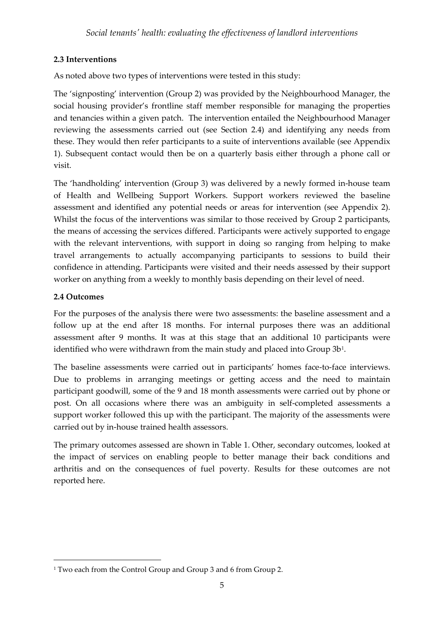# **2.3 Inte**r**ventions**

As noted above two types of interventions were tested in this study:

The 'signposting' intervention (Group 2) was provided by the Neighbourhood Manager, the social housing provider's frontline staff member responsible for managing the properties and tenancies within a given patch. The intervention entailed the Neighbourhood Manager reviewing the assessments carried out (see Section 2.4) and identifying any needs from these. They would then refer participants to a suite of interventions available (see Appendix 1). Subsequent contact would then be on a quarterly basis either through a phone call or visit.

The 'handholding' intervention (Group 3) was delivered by a newly formed in-house team of Health and Wellbeing Support Workers. Support workers reviewed the baseline assessment and identified any potential needs or areas for intervention (see Appendix 2). Whilst the focus of the interventions was similar to those received by Group 2 participants, the means of accessing the services differed. Participants were actively supported to engage with the relevant interventions, with support in doing so ranging from helping to make travel arrangements to actually accompanying participants to sessions to build their confidence in attending. Participants were visited and their needs assessed by their support worker on anything from a weekly to monthly basis depending on their level of need.

## **2.4 Outcomes**

<u>.</u>

For the purposes of the analysis there were two assessments: the baseline assessment and a follow up at the end after 18 months. For internal purposes there was an additional assessment after 9 months. It was at this stage that an additional 10 participants were identified who were withdrawn from the main study and placed into Group 3b<sup>[1](#page-4-0)</sup>.

The baseline assessments were carried out in participants' homes face-to-face interviews. Due to problems in arranging meetings or getting access and the need to maintain participant goodwill, some of the 9 and 18 month assessments were carried out by phone or post. On all occasions where there was an ambiguity in self-completed assessments a support worker followed this up with the participant. The majority of the assessments were carried out by in-house trained health assessors.

The primary outcomes assessed are shown in Table 1. Other, secondary outcomes, looked at the impact of services on enabling people to better manage their back conditions and arthritis and on the consequences of fuel poverty. Results for these outcomes are not reported here.

<span id="page-4-0"></span><sup>&</sup>lt;sup>1</sup> Two each from the Control Group and Group 3 and 6 from Group 2.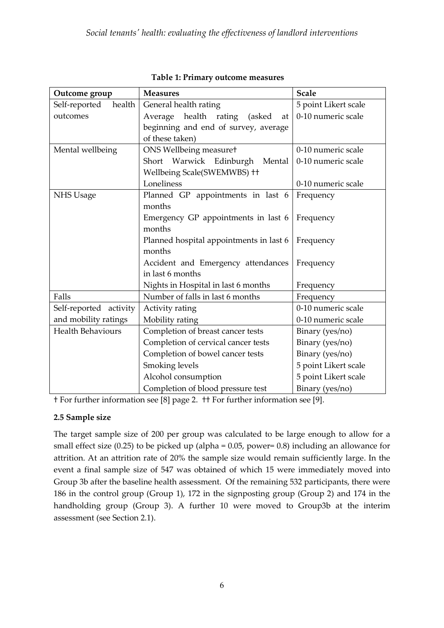| Outcome group                           | <b>Measures</b>                             | <b>Scale</b>         |  |
|-----------------------------------------|---------------------------------------------|----------------------|--|
| Self-reported<br>health                 | General health rating                       | 5 point Likert scale |  |
| outcomes                                | health<br>Average<br>rating<br>(asked<br>at | 0-10 numeric scale   |  |
|                                         | beginning and end of survey, average        |                      |  |
|                                         | of these taken)                             |                      |  |
| Mental wellbeing                        | ONS Wellbeing measuret                      | 0-10 numeric scale   |  |
|                                         | Short Warwick Edinburgh<br>Mental           | 0-10 numeric scale   |  |
|                                         | Wellbeing Scale(SWEMWBS) ++                 |                      |  |
|                                         | Loneliness                                  | 0-10 numeric scale   |  |
| NHS Usage                               | Planned GP appointments in last 6           | Frequency            |  |
|                                         | months                                      |                      |  |
|                                         | Emergency GP appointments in last 6         | Frequency            |  |
|                                         | months                                      |                      |  |
|                                         | Planned hospital appointments in last 6     | Frequency            |  |
|                                         | months                                      |                      |  |
|                                         | Accident and Emergency attendances          | Frequency            |  |
|                                         | in last 6 months                            |                      |  |
|                                         | Nights in Hospital in last 6 months         | Frequency            |  |
| Falls                                   | Number of falls in last 6 months            | Frequency            |  |
| Self-reported activity                  | Activity rating                             | 0-10 numeric scale   |  |
| and mobility ratings<br>Mobility rating |                                             | 0-10 numeric scale   |  |
| <b>Health Behaviours</b>                | Completion of breast cancer tests           | Binary (yes/no)      |  |
|                                         | Completion of cervical cancer tests         | Binary (yes/no)      |  |
|                                         | Completion of bowel cancer tests            | Binary (yes/no)      |  |
|                                         | Smoking levels                              | 5 point Likert scale |  |
|                                         | Alcohol consumption                         | 5 point Likert scale |  |
|                                         | Completion of blood pressure test           | Binary (yes/no)      |  |

#### **Table 1: Primary outcome measures**

† For further information see [8] page 2. †† For further information see [9].

#### **2.5 Sample size**

The target sample size of 200 per group was calculated to be large enough to allow for a small effect size (0.25) to be picked up (alpha = 0.05, power= 0.8) including an allowance for attrition. At an attrition rate of 20% the sample size would remain sufficiently large. In the event a final sample size of 547 was obtained of which 15 were immediately moved into Group 3b after the baseline health assessment. Of the remaining 532 participants, there were 186 in the control group (Group 1), 172 in the signposting group (Group 2) and 174 in the handholding group (Group 3). A further 10 were moved to Group3b at the interim assessment (see Section 2.1).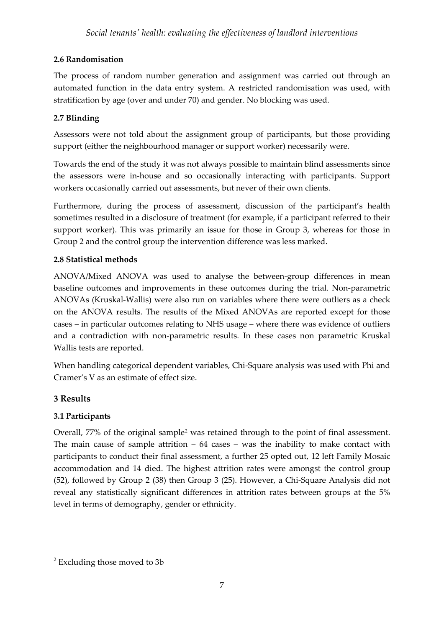## **2.6 Randomisation**

The process of random number generation and assignment was carried out through an automated function in the data entry system. A restricted randomisation was used, with stratification by age (over and under 70) and gender. No blocking was used.

# **2.7 Blinding**

Assessors were not told about the assignment group of participants, but those providing support (either the neighbourhood manager or support worker) necessarily were.

Towards the end of the study it was not always possible to maintain blind assessments since the assessors were in-house and so occasionally interacting with participants. Support workers occasionally carried out assessments, but never of their own clients.

Furthermore, during the process of assessment, discussion of the participant's health sometimes resulted in a disclosure of treatment (for example, if a participant referred to their support worker). This was primarily an issue for those in Group 3, whereas for those in Group 2 and the control group the intervention difference was less marked.

## **2.8 Statistical methods**

ANOVA/Mixed ANOVA was used to analyse the between-group differences in mean baseline outcomes and improvements in these outcomes during the trial. Non-parametric ANOVAs (Kruskal-Wallis) were also run on variables where there were outliers as a check on the ANOVA results. The results of the Mixed ANOVAs are reported except for those cases – in particular outcomes relating to NHS usage – where there was evidence of outliers and a contradiction with non-parametric results. In these cases non parametric Kruskal Wallis tests are reported.

When handling categorical dependent variables, Chi-Square analysis was used with Phi and Cramer's V as an estimate of effect size.

## **3 Results**

-

## **3.1 Participants**

Overall, 77% of the original sample[2](#page-6-0) was retained through to the point of final assessment. The main cause of sample attrition  $-64$  cases  $-$  was the inability to make contact with participants to conduct their final assessment, a further 25 opted out, 12 left Family Mosaic accommodation and 14 died. The highest attrition rates were amongst the control group (52), followed by Group 2 (38) then Group 3 (25). However, a Chi-Square Analysis did not reveal any statistically significant differences in attrition rates between groups at the 5% level in terms of demography, gender or ethnicity.

<span id="page-6-0"></span> $2$  Excluding those moved to 3b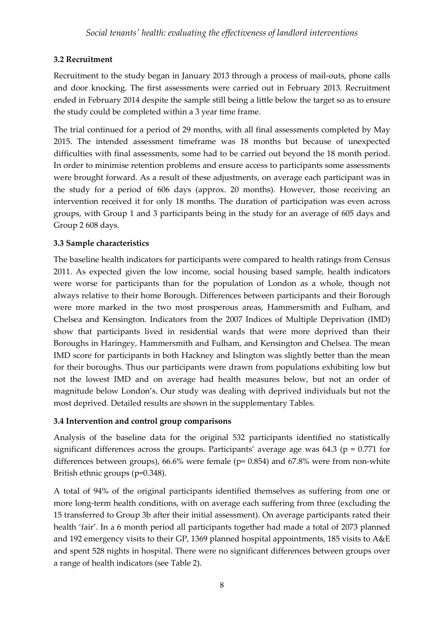# **3.2 Recruitment**

Recruitment to the study began in January 2013 through a process of mail-outs, phone calls and door knocking. The first assessments were carried out in February 2013. Recruitment ended in February 2014 despite the sample still being a little below the target so as to ensure the study could be completed within a 3 year time frame.

The trial continued for a period of 29 months, with all final assessments completed by May 2015. The intended assessment timeframe was 18 months but because of unexpected difficulties with final assessments, some had to be carried out beyond the 18 month period. In order to minimise retention problems and ensure access to participants some assessments were brought forward. As a result of these adjustments, on average each participant was in the study for a period of 606 days (approx. 20 months). However, those receiving an intervention received it for only 18 months. The duration of participation was even across groups, with Group 1 and 3 participants being in the study for an average of 605 days and Group 2 608 days.

## **3.3 Sample characteristics**

The baseline health indicators for participants were compared to health ratings from Census 2011. As expected given the low income, social housing based sample, health indicators were worse for participants than for the population of London as a whole, though not always relative to their home Borough. Differences between participants and their Borough were more marked in the two most prosperous areas, Hammersmith and Fulham, and Chelsea and Kensington. Indicators from the 2007 Indices of Multiple Deprivation (IMD) show that participants lived in residential wards that were more deprived than their Boroughs in Haringey, Hammersmith and Fulham, and Kensington and Chelsea. The mean IMD score for participants in both Hackney and Islington was slightly better than the mean for their boroughs. Thus our participants were drawn from populations exhibiting low but not the lowest IMD and on average had health measures below, but not an order of magnitude below London's. Our study was dealing with deprived individuals but not the most deprived. Detailed results are shown in the supplementary Tables.

## **3.4 Intervention and control group comparisons**

Analysis of the baseline data for the original 532 participants identified no statistically significant differences across the groups. Participants' average age was 64.3 ( $p = 0.771$  for differences between groups), 66.6% were female (p= 0.854) and 67.8% were from non-white British ethnic groups (p=0.348).

A total of 94% of the original participants identified themselves as suffering from one or more long-term health conditions, with on average each suffering from three (excluding the 15 transferred to Group 3b after their initial assessment). On average participants rated their health 'fair'. In a 6 month period all participants together had made a total of 2073 planned and 192 emergency visits to their GP, 1369 planned hospital appointments, 185 visits to A&E and spent 528 nights in hospital. There were no significant differences between groups over a range of health indicators (see Table 2).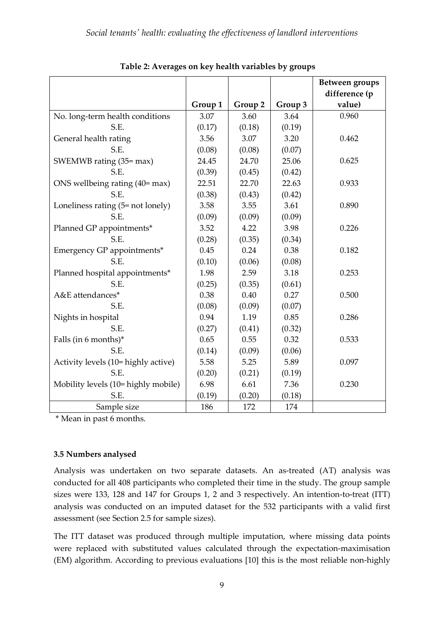|                                     |         |         |         | <b>Between groups</b><br>difference (p |
|-------------------------------------|---------|---------|---------|----------------------------------------|
|                                     | Group 1 | Group 2 | Group 3 | value)                                 |
| No. long-term health conditions     | 3.07    | 3.60    | 3.64    | 0.960                                  |
| S.E.                                | (0.17)  | (0.18)  | (0.19)  |                                        |
| General health rating               | 3.56    | 3.07    | 3.20    | 0.462                                  |
| S.E.                                | (0.08)  | (0.08)  | (0.07)  |                                        |
| SWEMWB rating (35= max)             | 24.45   | 24.70   | 25.06   | 0.625                                  |
| S.E.                                | (0.39)  | (0.45)  | (0.42)  |                                        |
| ONS wellbeing rating (40= max)      | 22.51   | 22.70   | 22.63   | 0.933                                  |
| S.E.                                | (0.38)  | (0.43)  | (0.42)  |                                        |
| Loneliness rating (5= not lonely)   | 3.58    | 3.55    | 3.61    | 0.890                                  |
| S.E.                                | (0.09)  | (0.09)  | (0.09)  |                                        |
| Planned GP appointments*            | 3.52    | 4.22    | 3.98    | 0.226                                  |
| S.E.                                | (0.28)  | (0.35)  | (0.34)  |                                        |
| Emergency GP appointments*          | 0.45    | 0.24    | 0.38    | 0.182                                  |
| S.E.                                | (0.10)  | (0.06)  | (0.08)  |                                        |
| Planned hospital appointments*      | 1.98    | 2.59    | 3.18    | 0.253                                  |
| S.E.                                | (0.25)  | (0.35)  | (0.61)  |                                        |
| A&E attendances*                    | 0.38    | 0.40    | 0.27    | 0.500                                  |
| S.E.                                | (0.08)  | (0.09)  | (0.07)  |                                        |
| Nights in hospital                  | 0.94    | 1.19    | 0.85    | 0.286                                  |
| S.E.                                | (0.27)  | (0.41)  | (0.32)  |                                        |
| Falls (in 6 months)*                | 0.65    | 0.55    | 0.32    | 0.533                                  |
| S.E.                                | (0.14)  | (0.09)  | (0.06)  |                                        |
| Activity levels (10= highly active) | 5.58    | 5.25    | 5.89    | 0.097                                  |
| S.E.                                | (0.20)  | (0.21)  | (0.19)  |                                        |
| Mobility levels (10= highly mobile) | 6.98    | 6.61    | 7.36    | 0.230                                  |
| S.E.                                | (0.19)  | (0.20)  | (0.18)  |                                        |
| Sample size                         | 186     | 172     | 174     |                                        |

**Table 2: Averages on key health variables by groups**

\* Mean in past 6 months.

#### **3.5 Numbers analysed**

Analysis was undertaken on two separate datasets. An as-treated (AT) analysis was conducted for all 408 participants who completed their time in the study. The group sample sizes were 133, 128 and 147 for Groups 1, 2 and 3 respectively. An intention-to-treat (ITT) analysis was conducted on an imputed dataset for the 532 participants with a valid first assessment (see Section 2.5 for sample sizes).

The ITT dataset was produced through multiple imputation, where missing data points were replaced with substituted values calculated through the expectation-maximisation (EM) algorithm. According to previous evaluations [10] this is the most reliable non-highly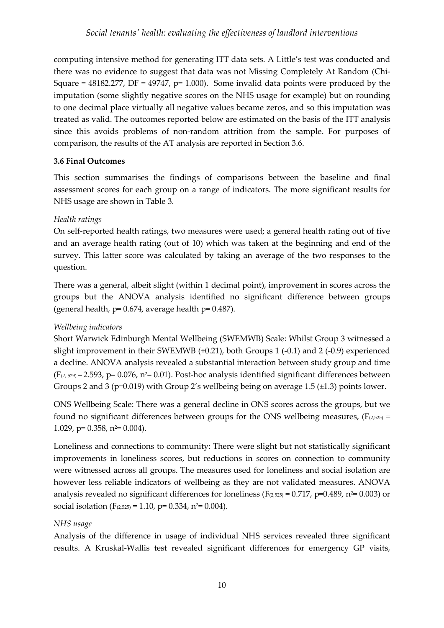computing intensive method for generating ITT data sets. A Little's test was conducted and there was no evidence to suggest that data was not Missing Completely At Random (Chi-Square =  $48182.277$ , DF =  $49747$ , p= 1.000). Some invalid data points were produced by the imputation (some slightly negative scores on the NHS usage for example) but on rounding to one decimal place virtually all negative values became zeros, and so this imputation was treated as valid. The outcomes reported below are estimated on the basis of the ITT analysis since this avoids problems of non-random attrition from the sample. For purposes of comparison, the results of the AT analysis are reported in Section 3.6.

## **3.6 Final Outcomes**

This section summarises the findings of comparisons between the baseline and final assessment scores for each group on a range of indicators. The more significant results for NHS usage are shown in Table 3.

# *Health ratings*

On self-reported health ratings, two measures were used; a general health rating out of five and an average health rating (out of 10) which was taken at the beginning and end of the survey. This latter score was calculated by taking an average of the two responses to the question.

There was a general, albeit slight (within 1 decimal point), improvement in scores across the groups but the ANOVA analysis identified no significant difference between groups (general health,  $p= 0.674$ , average health  $p= 0.487$ ).

## *Wellbeing indicators*

Short Warwick Edinburgh Mental Wellbeing (SWEMWB) Scale: Whilst Group 3 witnessed a slight improvement in their SWEMWB (+0.21), both Groups 1 (-0.1) and 2 (-0.9) experienced a decline. ANOVA analysis revealed a substantial interaction between study group and time  $(F<sub>(2, 529)</sub> = 2.593, p= 0.076, n<sup>2</sup>= 0.01).$  Post-hoc analysis identified significant differences between Groups 2 and 3 (p=0.019) with Group 2's wellbeing being on average 1.5 (±1.3) points lower.

ONS Wellbeing Scale: There was a general decline in ONS scores across the groups, but we found no significant differences between groups for the ONS wellbeing measures,  $(F_{(2,525)} =$ 1.029,  $p= 0.358$ ,  $n^2= 0.004$ ).

Loneliness and connections to community: There were slight but not statistically significant improvements in loneliness scores, but reductions in scores on connection to community were witnessed across all groups. The measures used for loneliness and social isolation are however less reliable indicators of wellbeing as they are not validated measures. ANOVA analysis revealed no significant differences for loneliness ( $F_{(2,525)} = 0.717$ , p=0.489, n<sup>2</sup>= 0.003) or social isolation ( $F_{(2,525)} = 1.10$ , p= 0.334, n<sup>2</sup>= 0.004).

## *NHS usage*

Analysis of the difference in usage of individual NHS services revealed three significant results. A Kruskal-Wallis test revealed significant differences for emergency GP visits,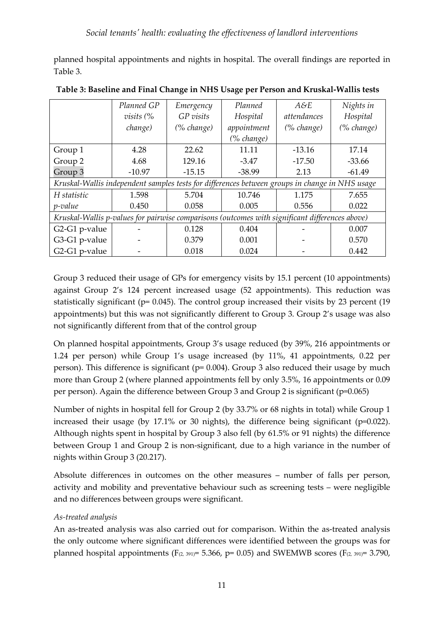planned hospital appointments and nights in hospital. The overall findings are reported in Table 3.

|                                                                                                | Planned GP  | Emergency  | Planned       | A&E         | Nights in  |
|------------------------------------------------------------------------------------------------|-------------|------------|---------------|-------------|------------|
|                                                                                                | $visits$ (% | GP visits  | Hospital      | attendances | Hospital   |
|                                                                                                | change)     | (% change) | appointment   | (% change)  | (% change) |
|                                                                                                |             |            | $(\%$ change) |             |            |
| Group 1                                                                                        | 4.28        | 22.62      | 11.11         | $-13.16$    | 17.14      |
| Group 2                                                                                        | 4.68        | 129.16     | $-3.47$       | $-17.50$    | $-33.66$   |
| Group 3                                                                                        | $-10.97$    | $-15.15$   | $-38.99$      | 2.13        | $-61.49$   |
| Kruskal-Wallis independent samples tests for differences between groups in change in NHS usage |             |            |               |             |            |
| H statistic                                                                                    | 1.598       | 5.704      | 10.746        | 1.175       | 7.655      |
| <i>p</i> -value                                                                                | 0.450       | 0.058      | 0.005         | 0.556       | 0.022      |
| Kruskal-Wallis p-values for pairwise comparisons (outcomes with significant differences above) |             |            |               |             |            |
| G2-G1 p-value                                                                                  |             | 0.128      | 0.404         |             | 0.007      |
| G3-G1 p-value                                                                                  |             | 0.379      | 0.001         |             | 0.570      |
| G2-G1 p-value                                                                                  |             | 0.018      | 0.024         |             | 0.442      |

**Table 3: Baseline and Final Change in NHS Usage per Person and Kruskal-Wallis tests**

Group 3 reduced their usage of GPs for emergency visits by 15.1 percent (10 appointments) against Group 2's 124 percent increased usage (52 appointments). This reduction was statistically significant (p= 0.045). The control group increased their visits by 23 percent (19 appointments) but this was not significantly different to Group 3. Group 2's usage was also not significantly different from that of the control group

On planned hospital appointments, Group 3's usage reduced (by 39%, 216 appointments or 1.24 per person) while Group 1's usage increased (by 11%, 41 appointments, 0.22 per person). This difference is significant (p= 0.004). Group 3 also reduced their usage by much more than Group 2 (where planned appointments fell by only 3.5%, 16 appointments or 0.09 per person). Again the difference between Group 3 and Group 2 is significant (p=0.065)

Number of nights in hospital fell for Group 2 (by 33.7% or 68 nights in total) while Group 1 increased their usage (by 17.1% or 30 nights), the difference being significant (p=0.022). Although nights spent in hospital by Group 3 also fell (by 61.5% or 91 nights) the difference between Group 1 and Group 2 is non-significant, due to a high variance in the number of nights within Group 3 (20.217).

Absolute differences in outcomes on the other measures – number of falls per person, activity and mobility and preventative behaviour such as screening tests – were negligible and no differences between groups were significant.

## *As-treated analysis*

An as-treated analysis was also carried out for comparison. Within the as-treated analysis the only outcome where significant differences were identified between the groups was for planned hospital appointments (F<sub>(2, 391)</sub> = 5.366, p= 0.05) and SWEMWB scores (F<sub>(2, 391)</sub> = 3.790,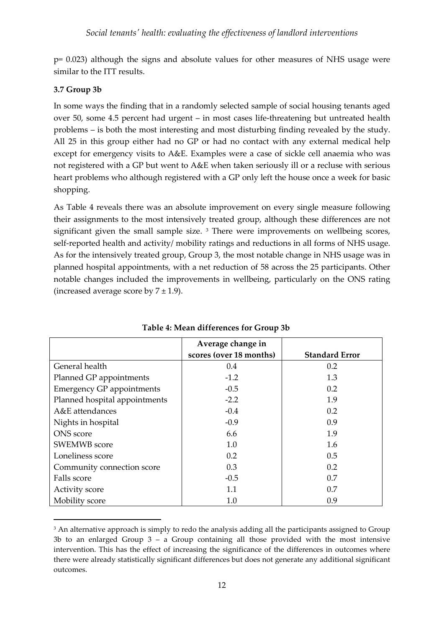p= 0.023) although the signs and absolute values for other measures of NHS usage were similar to the ITT results.

#### **3.7 Group 3b**

<u>.</u>

In some ways the finding that in a randomly selected sample of social housing tenants aged over 50, some 4.5 percent had urgent – in most cases life-threatening but untreated health problems – is both the most interesting and most disturbing finding revealed by the study. All 25 in this group either had no GP or had no contact with any external medical help except for emergency visits to A&E. Examples were a case of sickle cell anaemia who was not registered with a GP but went to A&E when taken seriously ill or a recluse with serious heart problems who although registered with a GP only left the house once a week for basic shopping.

As Table 4 reveals there was an absolute improvement on every single measure following their assignments to the most intensively treated group, although these differences are not significant given the small sample size.<sup>[3](#page-11-0)</sup> There were improvements on wellbeing scores, self-reported health and activity/ mobility ratings and reductions in all forms of NHS usage. As for the intensively treated group, Group 3, the most notable change in NHS usage was in planned hospital appointments, with a net reduction of 58 across the 25 participants. Other notable changes included the improvements in wellbeing, particularly on the ONS rating (increased average score by  $7 \pm 1.9$ ).

|                               | Average change in       |                       |
|-------------------------------|-------------------------|-----------------------|
|                               | scores (over 18 months) | <b>Standard Error</b> |
| General health                | $0.4^{\circ}$           | $0.2^{\circ}$         |
| Planned GP appointments       | $-1.2$                  | 1.3                   |
| Emergency GP appointments     | $-0.5$                  | 0.2                   |
| Planned hospital appointments | $-2.2$                  | 1.9                   |
| A&E attendances               | $-0.4$                  | 0.2                   |
| Nights in hospital            | $-0.9$                  | 0.9                   |
| <b>ONS</b> score              | 6.6                     | 1.9                   |
| <b>SWEMWB</b> score           | 1.0                     | 1.6                   |
| Loneliness score              | 0.2                     | $0.5^{\circ}$         |
| Community connection score    | 0.3                     | 0.2                   |
| Falls score                   | $-0.5$                  | 0.7                   |
| Activity score                | 1.1                     | 0.7                   |
| Mobility score                | 1.0                     | 0.9                   |

**Table 4: Mean differences for Group 3b**

<span id="page-11-0"></span><sup>&</sup>lt;sup>3</sup> An alternative approach is simply to redo the analysis adding all the participants assigned to Group 3b to an enlarged Group  $3 - a$  Group containing all those provided with the most intensive intervention. This has the effect of increasing the significance of the differences in outcomes where there were already statistically significant differences but does not generate any additional significant outcomes.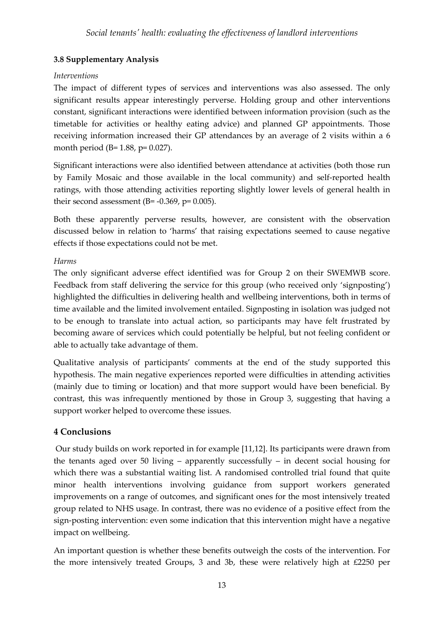# **3.8 Supplementary Analysis**

#### *Interventions*

The impact of different types of services and interventions was also assessed. The only significant results appear interestingly perverse. Holding group and other interventions constant, significant interactions were identified between information provision (such as the timetable for activities or healthy eating advice) and planned GP appointments. Those receiving information increased their GP attendances by an average of 2 visits within a 6 month period (B= 1.88, p= 0.027).

Significant interactions were also identified between attendance at activities (both those run by Family Mosaic and those available in the local community) and self-reported health ratings, with those attending activities reporting slightly lower levels of general health in their second assessment (B=  $-0.369$ , p=  $0.005$ ).

Both these apparently perverse results, however, are consistent with the observation discussed below in relation to 'harms' that raising expectations seemed to cause negative effects if those expectations could not be met.

#### *Harms*

The only significant adverse effect identified was for Group 2 on their SWEMWB score. Feedback from staff delivering the service for this group (who received only 'signposting') highlighted the difficulties in delivering health and wellbeing interventions, both in terms of time available and the limited involvement entailed. Signposting in isolation was judged not to be enough to translate into actual action, so participants may have felt frustrated by becoming aware of services which could potentially be helpful, but not feeling confident or able to actually take advantage of them.

Qualitative analysis of participants' comments at the end of the study supported this hypothesis. The main negative experiences reported were difficulties in attending activities (mainly due to timing or location) and that more support would have been beneficial. By contrast, this was infrequently mentioned by those in Group 3, suggesting that having a support worker helped to overcome these issues.

## **4 Conclusions**

Our study builds on work reported in for example [11,12]. Its participants were drawn from the tenants aged over 50 living – apparently successfully – in decent social housing for which there was a substantial waiting list. A randomised controlled trial found that quite minor health interventions involving guidance from support workers generated improvements on a range of outcomes, and significant ones for the most intensively treated group related to NHS usage. In contrast, there was no evidence of a positive effect from the sign-posting intervention: even some indication that this intervention might have a negative impact on wellbeing.

An important question is whether these benefits outweigh the costs of the intervention. For the more intensively treated Groups, 3 and 3b, these were relatively high at £2250 per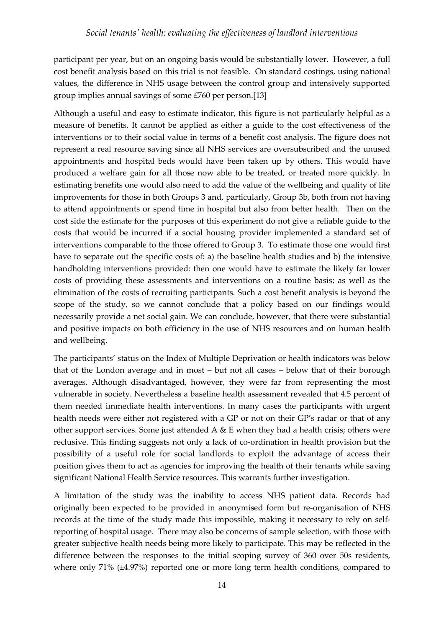participant per year, but on an ongoing basis would be substantially lower. However, a full cost benefit analysis based on this trial is not feasible. On standard costings, using national values, the difference in NHS usage between the control group and intensively supported group implies annual savings of some £760 per person.[13]

Although a useful and easy to estimate indicator, this figure is not particularly helpful as a measure of benefits. It cannot be applied as either a guide to the cost effectiveness of the interventions or to their social value in terms of a benefit cost analysis. The figure does not represent a real resource saving since all NHS services are oversubscribed and the unused appointments and hospital beds would have been taken up by others. This would have produced a welfare gain for all those now able to be treated, or treated more quickly. In estimating benefits one would also need to add the value of the wellbeing and quality of life improvements for those in both Groups 3 and, particularly, Group 3b, both from not having to attend appointments or spend time in hospital but also from better health. Then on the cost side the estimate for the purposes of this experiment do not give a reliable guide to the costs that would be incurred if a social housing provider implemented a standard set of interventions comparable to the those offered to Group 3. To estimate those one would first have to separate out the specific costs of: a) the baseline health studies and b) the intensive handholding interventions provided: then one would have to estimate the likely far lower costs of providing these assessments and interventions on a routine basis; as well as the elimination of the costs of recruiting participants. Such a cost benefit analysis is beyond the scope of the study, so we cannot conclude that a policy based on our findings would necessarily provide a net social gain. We can conclude, however, that there were substantial and positive impacts on both efficiency in the use of NHS resources and on human health and wellbeing.

The participants' status on the Index of Multiple Deprivation or health indicators was below that of the London average and in most – but not all cases – below that of their borough averages. Although disadvantaged, however, they were far from representing the most vulnerable in society. Nevertheless a baseline health assessment revealed that 4.5 percent of them needed immediate health interventions. In many cases the participants with urgent health needs were either not registered with a GP or not on their GP's radar or that of any other support services. Some just attended  $A \& E$  when they had a health crisis; others were reclusive. This finding suggests not only a lack of co-ordination in health provision but the possibility of a useful role for social landlords to exploit the advantage of access their position gives them to act as agencies for improving the health of their tenants while saving significant National Health Service resources. This warrants further investigation.

A limitation of the study was the inability to access NHS patient data. Records had originally been expected to be provided in anonymised form but re-organisation of NHS records at the time of the study made this impossible, making it necessary to rely on selfreporting of hospital usage. There may also be concerns of sample selection, with those with greater subjective health needs being more likely to participate. This may be reflected in the difference between the responses to the initial scoping survey of 360 over 50s residents, where only 71% (±4.97%) reported one or more long term health conditions, compared to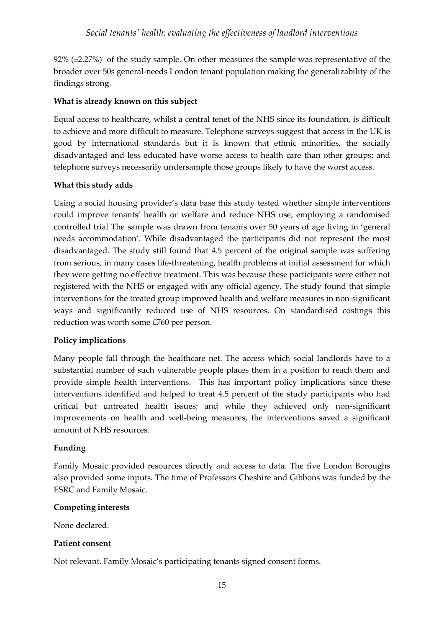92% (±2.27%) of the study sample. On other measures the sample was representative of the broader over 50s general-needs London tenant population making the generalizability of the findings strong.

#### **What is already known on this subject**

Equal access to healthcare, whilst a central tenet of the NHS since its foundation, is difficult to achieve and more difficult to measure. Telephone surveys suggest that access in the UK is good by international standards but it is known that ethnic minorities, the socially disadvantaged and less educated have worse access to health care than other groups; and telephone surveys necessarily undersample those groups likely to have the worst access.

#### **What this study adds**

Using a social housing provider's data base this study tested whether simple interventions could improve tenants' health or welfare and reduce NHS use, employing a randomised controlled trial The sample was drawn from tenants over 50 years of age living in 'general needs accommodation'. While disadvantaged the participants did not represent the most disadvantaged. The study still found that 4.5 percent of the original sample was suffering from serious, in many cases life-threatening, health problems at initial assessment for which they were getting no effective treatment. This was because these participants were either not registered with the NHS or engaged with any official agency. The study found that simple interventions for the treated group improved health and welfare measures in non-significant ways and significantly reduced use of NHS resources. On standardised costings this reduction was worth some £760 per person.

## **Policy implications**

Many people fall through the healthcare net. The access which social landlords have to a substantial number of such vulnerable people places them in a position to reach them and provide simple health interventions. This has important policy implications since these interventions identified and helped to treat 4.5 percent of the study participants who had critical but untreated health issues; and while they achieved only non-significant improvements on health and well-being measures, the interventions saved a significant amount of NHS resources.

#### **Funding**

Family Mosaic provided resources directly and access to data. The five London Boroughs also provided some inputs. The time of Professors Cheshire and Gibbons was funded by the ESRC and Family Mosaic.

#### **Competing interests**

None declared.

#### **Patient consent**

Not relevant. Family Mosaic's participating tenants signed consent forms.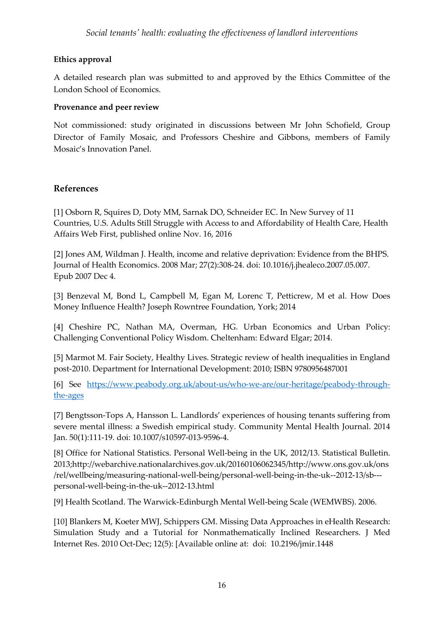## **Ethics approval**

A detailed research plan was submitted to and approved by the Ethics Committee of the London School of Economics.

#### **Provenance and peer review**

Not commissioned: study originated in discussions between Mr John Schofield, Group Director of Family Mosaic, and Professors Cheshire and Gibbons, members of Family Mosaic's Innovation Panel.

#### **References**

[1] Osborn R, Squires D, Doty MM, Sarnak DO, Schneider EC. In New Survey of 11 Countries, U.S. Adults Still Struggle with Access to and Affordability of Health Care, Health Affairs Web First, published online Nov. 16, 2016

[2] Jones [AM, Wildman J. Health, income and relative deprivation: Evidence from the BHPS.](https://www.ncbi.nlm.nih.gov/pubmed/18207266)  [Journal of Health Economics.](https://www.ncbi.nlm.nih.gov/pubmed/18207266) 2008 Mar; 27(2):308-24. doi: 10.1016/j.jhealeco.2007.05.007. Epub 2007 Dec 4.

[3] Benzeval M, Bond L, Campbell M, Egan M, Lorenc T, Petticrew, M et al. How Does Money Influence Health? Joseph Rowntree Foundation, York; 2014

[4] Cheshire PC, Nathan MA, Overman, HG. Urban Economics and Urban Policy: Challenging Conventional Policy Wisdom. Cheltenham: Edward Elgar; 2014.

[5] Marmot M. Fair Society, Healthy Lives. Strategic review of health inequalities in England post-2010. [Department for International Development:](https://www.gov.uk/government/organisations/department-for-international-development) 2010; ISBN 9780956487001

[6] See [https://www.peabody.org.uk/about-us/who-we-are/our-heritage/peabody-through](https://www.peabody.org.uk/about-us/who-we-are/our-heritage/peabody-through-the-ages)[the-ages](https://www.peabody.org.uk/about-us/who-we-are/our-heritage/peabody-through-the-ages)

[7] Bengtsson-Tops A, Hansson L. Landlords' experiences of housing tenants suffering from severe mental illness: a Swedish empirical study. Community Mental Health Journal. 2014 Jan. 50(1):111-19. doi: 10.1007/s10597-013-9596-4.

[8] Office for National Statistics. Personal Well-being in the UK, 2012/13. Statistical Bulletin. 2013;http://webarchive.nationalarchives.gov.uk/20160106062345/http://www.ons.gov.uk/ons /rel/wellbeing/measuring-national-well-being/personal-well-being-in-the-uk--2012-13/sb-- personal-well-being-in-the-uk--2012-13.html

[9] Health Scotland. The Warwick-Edinburgh Mental Well-being Scale (WEMWBS). 2006.

[10] Blankers M, Koeter MWJ, Schippers GM. Missing Data Approaches in eHealth Research: Simulation Study and a Tutorial for Nonmathematically Inclined Researchers. J Med Internet Res. 2010 Oct-Dec; 12(5): [Available online at: doi: 10.2196/jmir.1448